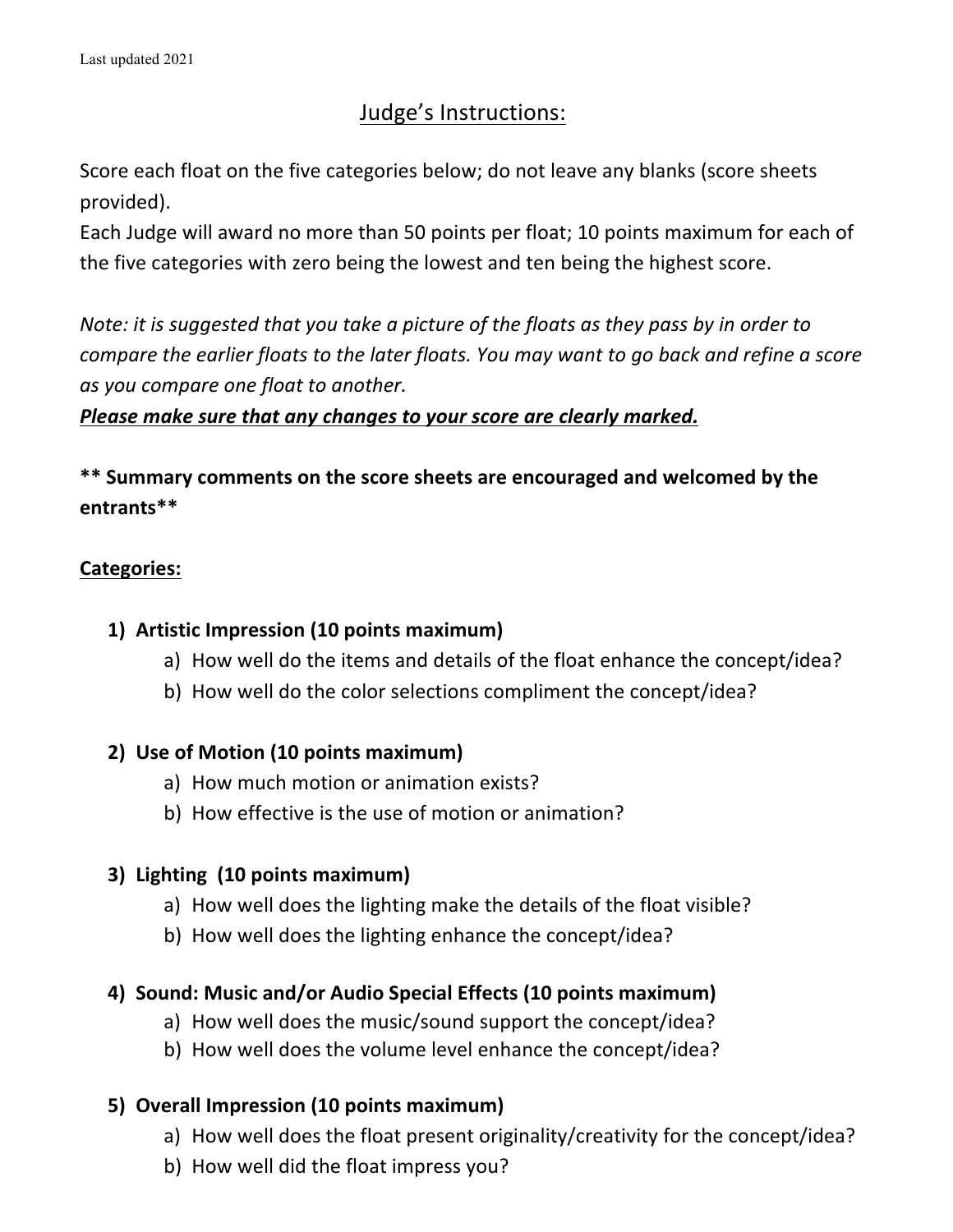# Judge's Instructions:

Score each float on the five categories below; do not leave any blanks (score sheets provided).

Each Judge will award no more than 50 points per float; 10 points maximum for each of the five categories with zero being the lowest and ten being the highest score.

*Note: it is suggested that you take a picture of the floats as they pass by in order to compare the earlier floats to the later floats. You may want to go back and refine a score* as you compare one float to another.

### *Please make sure that any changes to your score are clearly marked.*

## **\*\* Summary comments on the score sheets are encouraged and welcomed by the entrants\*\***

### **Categories:**

### 1) Artistic Impression (10 points maximum)

- a) How well do the items and details of the float enhance the concept/idea?
- b) How well do the color selections compliment the concept/idea?

### **2) Use of Motion (10 points maximum)**

- a) How much motion or animation exists?
- b) How effective is the use of motion or animation?

## **3) Lighting (10 points maximum)**

- a) How well does the lighting make the details of the float visible?
- b) How well does the lighting enhance the concept/idea?

## 4) **Sound: Music and/or Audio Special Effects (10 points maximum)**

- a) How well does the music/sound support the concept/idea?
- b) How well does the volume level enhance the concept/idea?

### **5)** Overall Impression (10 points maximum)

- a) How well does the float present originality/creativity for the concept/idea?
- b) How well did the float impress you?